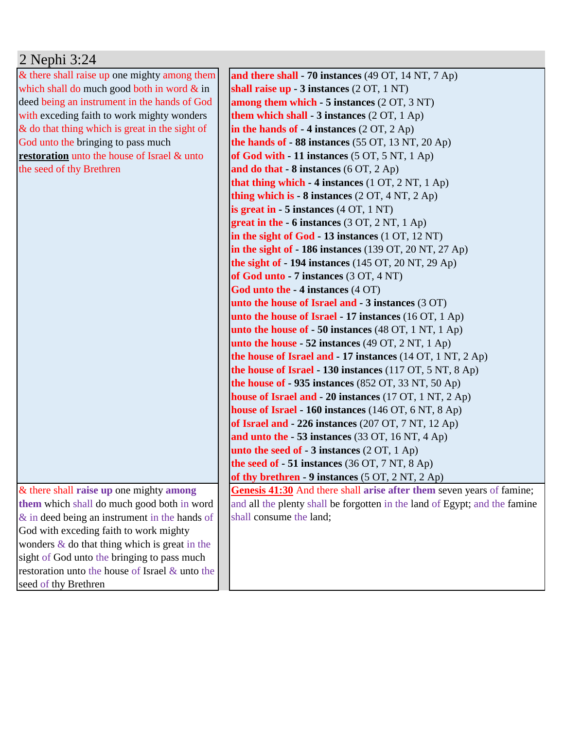## 2 Nephi 3:24

& there shall raise up one mighty among them which shall do much good both in word  $\&$  in deed being an instrument in the hands of God with exceding faith to work mighty wonders & do that thing which is great in the sight of God unto the bringing to pass much **restoration** unto the house of Israel & unto the seed of thy Brethren

& there shall **raise up** one mighty **among them** which shall do much good both in word & in deed being an instrument in the hands of God with exceding faith to work mighty wonders  $\&$  do that thing which is great in the sight of God unto the bringing to pass much restoration unto the house of Israel & unto the seed of thy Brethren

**and there shall - 70 instances** (49 OT, 14 NT, 7 Ap) **shall raise up - 3 instances** (2 OT, 1 NT) **among them which - 5 instances** (2 OT, 3 NT) **them which shall - 3 instances** (2 OT, 1 Ap) **in the hands of - 4 instances** (2 OT, 2 Ap) **the hands of - 88 instances** (55 OT, 13 NT, 20 Ap) **of God with - 11 instances** (5 OT, 5 NT, 1 Ap) **and do that - 8 instances** (6 OT, 2 Ap) **that thing which - 4 instances** (1 OT, 2 NT, 1 Ap) **thing which is - 8 instances** (2 OT, 4 NT, 2 Ap) **is great in - 5 instances** (4 OT, 1 NT) **great in the - 6 instances** (3 OT, 2 NT, 1 Ap) **in the sight of God - 13 instances** (1 OT, 12 NT) **in the sight of - 186 instances** (139 OT, 20 NT, 27 Ap) **the sight of - 194 instances** (145 OT, 20 NT, 29 Ap) **of God unto - 7 instances** (3 OT, 4 NT) **God unto the - 4 instances** (4 OT) **unto the house of Israel and - 3 instances** (3 OT) **unto the house of Israel - 17 instances** (16 OT, 1 Ap) **unto the house of - 50 instances** (48 OT, 1 NT, 1 Ap) **unto the house - 52 instances** (49 OT, 2 NT, 1 Ap) **the house of Israel and - 17 instances** (14 OT, 1 NT, 2 Ap) **the house of Israel - 130 instances** (117 OT, 5 NT, 8 Ap) **the house of - 935 instances** (852 OT, 33 NT, 50 Ap) **house of Israel and - 20 instances** (17 OT, 1 NT, 2 Ap) **house of Israel - 160 instances** (146 OT, 6 NT, 8 Ap) **of Israel and - 226 instances** (207 OT, 7 NT, 12 Ap) **and unto the - 53 instances** (33 OT, 16 NT, 4 Ap) **unto the seed of - 3 instances** (2 OT, 1 Ap) **the seed of - 51 instances** (36 OT, 7 NT, 8 Ap) **of thy brethren - 9 instances** (5 OT, 2 NT, 2 Ap) **Genesis 41:30** And there shall **arise after them** seven years of famine; and all the plenty shall be forgotten in the land of Egypt; and the famine shall consume the land;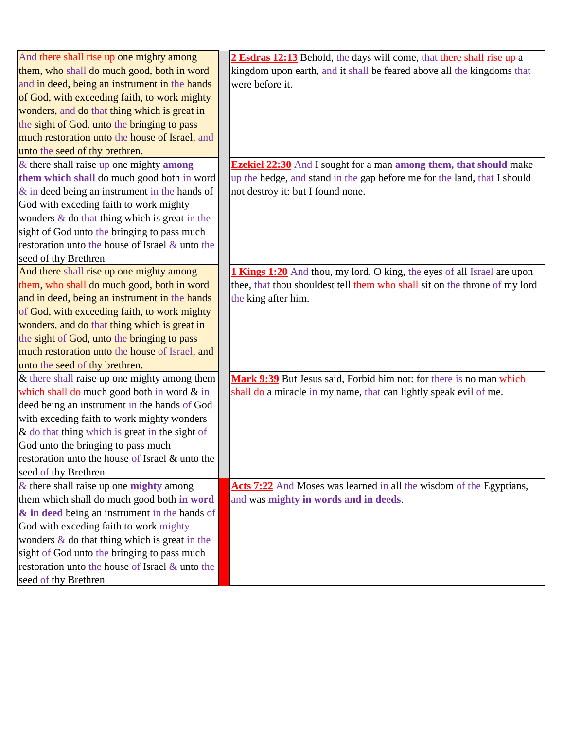| And there shall rise up one mighty among          | 2 Esdras 12:13 Behold, the days will come, that there shall rise up a            |
|---------------------------------------------------|----------------------------------------------------------------------------------|
| them, who shall do much good, both in word        | kingdom upon earth, and it shall be feared above all the kingdoms that           |
| and in deed, being an instrument in the hands     | were before it.                                                                  |
| of God, with exceeding faith, to work mighty      |                                                                                  |
| wonders, and do that thing which is great in      |                                                                                  |
| the sight of God, unto the bringing to pass       |                                                                                  |
| much restoration unto the house of Israel, and    |                                                                                  |
| unto the seed of thy brethren.                    |                                                                                  |
| $\&$ there shall raise up one mighty among        | <b>Ezekiel 22:30</b> And I sought for a man <b>among them</b> , that should make |
| them which shall do much good both in word        | up the hedge, and stand in the gap before me for the land, that I should         |
| $\&$ in deed being an instrument in the hands of  | not destroy it: but I found none.                                                |
| God with exceding faith to work mighty            |                                                                                  |
| wonders & do that thing which is great in the     |                                                                                  |
| sight of God unto the bringing to pass much       |                                                                                  |
| restoration unto the house of Israel & unto the   |                                                                                  |
| seed of thy Brethren                              |                                                                                  |
| And there shall rise up one mighty among          | <b>1 Kings 1:20</b> And thou, my lord, O king, the eyes of all Israel are upon   |
| them, who shall do much good, both in word        | thee, that thou shouldest tell them who shall sit on the throne of my lord       |
| and in deed, being an instrument in the hands     | the king after him.                                                              |
| of God, with exceeding faith, to work mighty      |                                                                                  |
| wonders, and do that thing which is great in      |                                                                                  |
| the sight of God, unto the bringing to pass       |                                                                                  |
| much restoration unto the house of Israel, and    |                                                                                  |
| unto the seed of thy brethren.                    |                                                                                  |
| & there shall raise up one mighty among them      | Mark 9:39 But Jesus said, Forbid him not: for there is no man which              |
| which shall do much good both in word & in        | shall do a miracle in my name, that can lightly speak evil of me.                |
| deed being an instrument in the hands of God      |                                                                                  |
| with exceding faith to work mighty wonders        |                                                                                  |
| $\&$ do that thing which is great in the sight of |                                                                                  |
| God unto the bringing to pass much                |                                                                                  |
| restoration unto the house of Israel & unto the   |                                                                                  |
| seed of thy Brethren                              |                                                                                  |
| $&$ there shall raise up one mighty among         | Acts 7:22 And Moses was learned in all the wisdom of the Egyptians,              |
| them which shall do much good both in word        | and was mighty in words and in deeds.                                            |
| & in deed being an instrument in the hands of     |                                                                                  |
| God with exceding faith to work mighty            |                                                                                  |
| wonders $\&$ do that thing which is great in the  |                                                                                  |
| sight of God unto the bringing to pass much       |                                                                                  |
| restoration unto the house of Israel & unto the   |                                                                                  |
| seed of thy Brethren                              |                                                                                  |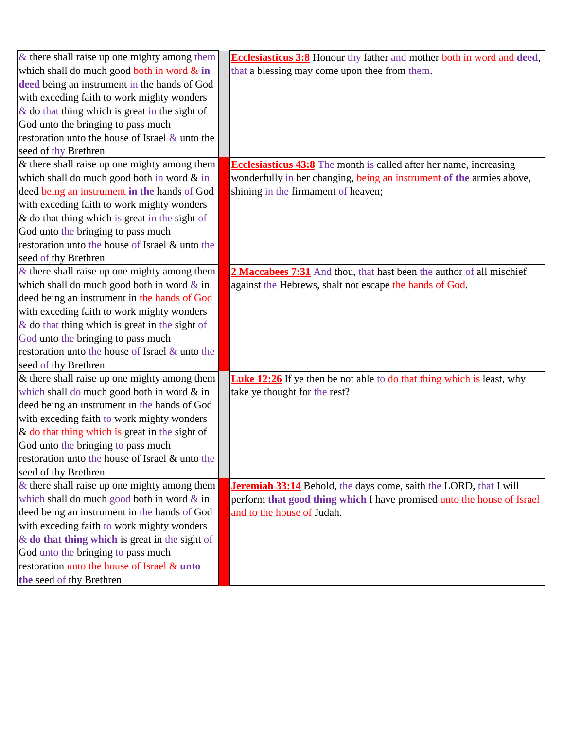| & there shall raise up one mighty among them      | <b>Ecclesiasticus 3:8</b> Honour thy father and mother both in word and deed, |
|---------------------------------------------------|-------------------------------------------------------------------------------|
| which shall do much good both in word $\&$ in     | that a blessing may come upon thee from them.                                 |
| deed being an instrument in the hands of God      |                                                                               |
| with exceding faith to work mighty wonders        |                                                                               |
| $\&$ do that thing which is great in the sight of |                                                                               |
| God unto the bringing to pass much                |                                                                               |
| restoration unto the house of Israel & unto the   |                                                                               |
| seed of thy Brethren                              |                                                                               |
| & there shall raise up one mighty among them      | <b>Ecclesiasticus 43:8</b> The month is called after her name, increasing     |
| which shall do much good both in word $&$ in      | wonderfully in her changing, being an instrument of the armies above,         |
| deed being an instrument in the hands of God      | shining in the firmament of heaven;                                           |
| with exceding faith to work mighty wonders        |                                                                               |
| & do that thing which is great in the sight of    |                                                                               |
| God unto the bringing to pass much                |                                                                               |
| restoration unto the house of Israel & unto the   |                                                                               |
| seed of thy Brethren                              |                                                                               |
| $\&$ there shall raise up one mighty among them   | 2 Maccabees 7:31 And thou, that hast been the author of all mischief          |
| which shall do much good both in word $\&$ in     | against the Hebrews, shalt not escape the hands of God.                       |
| deed being an instrument in the hands of God      |                                                                               |
| with exceding faith to work mighty wonders        |                                                                               |
| & do that thing which is great in the sight of    |                                                                               |
| God unto the bringing to pass much                |                                                                               |
| restoration unto the house of Israel & unto the   |                                                                               |
| seed of thy Brethren                              |                                                                               |
| & there shall raise up one mighty among them      | <b>Luke 12:26</b> If ye then be not able to do that thing which is least, why |
| which shall do much good both in word & in        | take ye thought for the rest?                                                 |
| deed being an instrument in the hands of God      |                                                                               |
| with exceding faith to work mighty wonders        |                                                                               |
| $\&$ do that thing which is great in the sight of |                                                                               |
| God unto the bringing to pass much                |                                                                               |
| restoration unto the house of Israel & unto the   |                                                                               |
| seed of thy Brethren                              |                                                                               |
| & there shall raise up one mighty among them      | <b>Jeremiah 33:14</b> Behold, the days come, saith the LORD, that I will      |
| which shall do much good both in word $\&$ in     | perform that good thing which I have promised unto the house of Israel        |
| deed being an instrument in the hands of God      | and to the house of Judah.                                                    |
| with exceding faith to work mighty wonders        |                                                                               |
| $\&$ do that thing which is great in the sight of |                                                                               |
| God unto the bringing to pass much                |                                                                               |
| restoration unto the house of Israel & unto       |                                                                               |
| the seed of thy Brethren                          |                                                                               |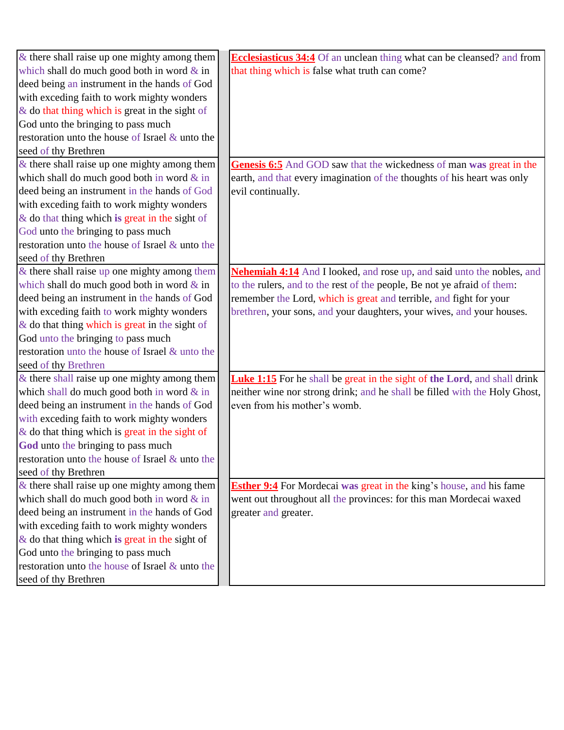| & there shall raise up one mighty among them      | <b>Ecclesiasticus 34:4</b> Of an unclean thing what can be cleansed? and from    |
|---------------------------------------------------|----------------------------------------------------------------------------------|
| which shall do much good both in word $\&$ in     | that thing which is false what truth can come?                                   |
| deed being an instrument in the hands of God      |                                                                                  |
| with exceding faith to work mighty wonders        |                                                                                  |
| $\&$ do that thing which is great in the sight of |                                                                                  |
| God unto the bringing to pass much                |                                                                                  |
| restoration unto the house of Israel & unto the   |                                                                                  |
| seed of thy Brethren                              |                                                                                  |
| $\&$ there shall raise up one mighty among them   | <b>Genesis 6:5</b> And GOD saw that the wickedness of man was great in the       |
| which shall do much good both in word $&$ in      | earth, and that every imagination of the thoughts of his heart was only          |
| deed being an instrument in the hands of God      | evil continually.                                                                |
| with exceding faith to work mighty wonders        |                                                                                  |
| $\&$ do that thing which is great in the sight of |                                                                                  |
| God unto the bringing to pass much                |                                                                                  |
| restoration unto the house of Israel & unto the   |                                                                                  |
| seed of thy Brethren                              |                                                                                  |
| $&$ there shall raise up one mighty among them    | <b>Nehemiah 4:14</b> And I looked, and rose up, and said unto the nobles, and    |
| which shall do much good both in word $\&$ in     | to the rulers, and to the rest of the people, Be not ye afraid of them:          |
| deed being an instrument in the hands of God      | remember the Lord, which is great and terrible, and fight for your               |
| with exceding faith to work mighty wonders        | brethren, your sons, and your daughters, your wives, and your houses.            |
| & do that thing which is great in the sight of    |                                                                                  |
| God unto the bringing to pass much                |                                                                                  |
| restoration unto the house of Israel & unto the   |                                                                                  |
| seed of thy Brethren                              |                                                                                  |
| $\&$ there shall raise up one mighty among them   | <b>Luke 1:15</b> For he shall be great in the sight of the Lord, and shall drink |
| which shall do much good both in word & in        | neither wine nor strong drink; and he shall be filled with the Holy Ghost,       |
| deed being an instrument in the hands of God      | even from his mother's womb.                                                     |
| with exceding faith to work mighty wonders        |                                                                                  |
| $\&$ do that thing which is great in the sight of |                                                                                  |
| God unto the bringing to pass much                |                                                                                  |
| restoration unto the house of Israel & unto the   |                                                                                  |
| seed of thy Brethren                              |                                                                                  |
| $\&$ there shall raise up one mighty among them   | <b>Esther 9:4</b> For Mordecai was great in the king's house, and his fame       |
| which shall do much good both in word $&$ in      | went out throughout all the provinces: for this man Mordecai waxed               |
| deed being an instrument in the hands of God      | greater and greater.                                                             |
| with exceding faith to work mighty wonders        |                                                                                  |
| $\&$ do that thing which is great in the sight of |                                                                                  |
| God unto the bringing to pass much                |                                                                                  |
| restoration unto the house of Israel & unto the   |                                                                                  |
| seed of thy Brethren                              |                                                                                  |